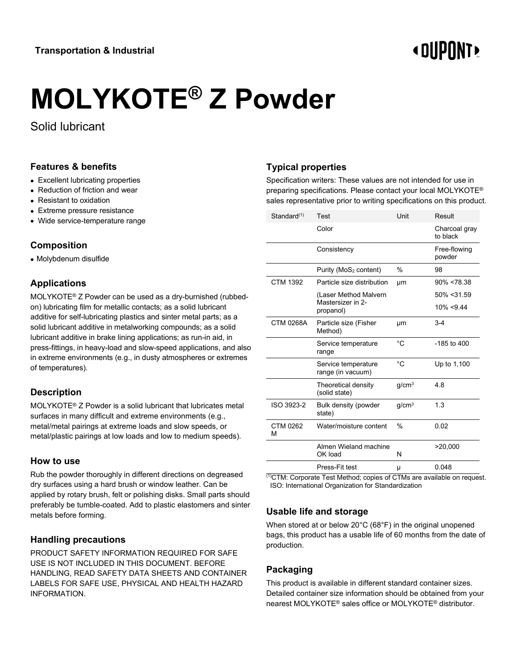# **« DIIPNNT**

# **MOLYKOTE® Z Powder**

Solid lubricant

#### **Features & benefits**

- Excellent lubricating properties
- Reduction of friction and wear
- Resistant to oxidation
- Extreme pressure resistance
- Wide service-temperature range

#### **Composition**

• Molybdenum disulfide

### **Applications**

MOLYKOTE® Z Powder can be used as a dry-burnished (rubbedon) lubricating film for metallic contacts; as a solid lubricant additive for self-lubricating plastics and sinter metal parts; as a solid lubricant additive in metalworking compounds; as a solid lubricant additive in brake lining applications; as run-in aid, in press-fittings, in heavy-load and slow-speed applications, and also in extreme environments (e.g., in dusty atmospheres or extremes of temperatures).

# **Description**

MOLYKOTE® Z Powder is a solid lubricant that lubricates metal surfaces in many difficult and extreme environments (e.g., metal/metal pairings at extreme loads and slow speeds, or metal/plastic pairings at low loads and low to medium speeds).

#### **How to use**

Rub the powder thoroughly in different directions on degreased dry surfaces using a hard brush or window leather. Can be applied by rotary brush, felt or polishing disks. Small parts should preferably be tumble-coated. Add to plastic elastomers and sinter metals before forming.

#### **Handling precautions**

PRODUCT SAFETY INFORMATION REQUIRED FOR SAFE USE IS NOT INCLUDED IN THIS DOCUMENT. BEFORE HANDLING, READ SAFETY DATA SHEETS AND CONTAINER LABELS FOR SAFE USE, PHYSICAL AND HEALTH HAZARD INFORMATION.

# **Typical properties**

Specification writers: These values are not intended for use in preparing specifications. Please contact your local MOLYKOTE® sales representative prior to writing specifications on this product.

| Standard <sup>(1)</sup> | Test                                     | Unit              | Result                    |
|-------------------------|------------------------------------------|-------------------|---------------------------|
|                         | Color                                    |                   | Charcoal gray<br>to black |
|                         | Consistency                              |                   | Free-flowing<br>powder    |
|                         | Purity (MoS <sub>2</sub> content)        | $\%$              | 98                        |
| <b>CTM 1392</b>         | Particle size distribution               | μm                | $90\% < 78.38$            |
|                         | (Laser Method Malvern                    |                   | 50% < 31.59               |
|                         | Mastersizer in 2-<br>propanol)           |                   | $10\% < 9.44$             |
| <b>CTM 0268A</b>        | Particle size (Fisher<br>Method)         | μm                | $3-4$                     |
|                         | Service temperature<br>range             | °C                | $-185$ to $400$           |
|                         | Service temperature<br>range (in vacuum) | °C                | Up to 1,100               |
|                         | Theoretical density<br>(solid state)     | g/cm <sup>3</sup> | 4.8                       |
| ISO 3923-2              | Bulk density (powder<br>state)           | q/cm <sup>3</sup> | 1.3                       |
| CTM 0262<br>м           | Water/moisture content                   | $\frac{0}{0}$     | 0.02                      |
|                         | Almen Wieland machine<br>OK load         | N                 | >20,000                   |
|                         | Press-Fit test                           | μ                 | 0.048                     |
|                         |                                          |                   |                           |

(1)CTM: Corporate Test Method; copies of CTMs are available on request. ISO: International Organization for Standardization

#### **Usable life and storage**

When stored at or below 20°C (68°F) in the original unopened bags, this product has a usable life of 60 months from the date of production.

# **Packaging**

This product is available in different standard container sizes. Detailed container size information should be obtained from your nearest MOLYKOTE® sales office or MOLYKOTE® distributor.